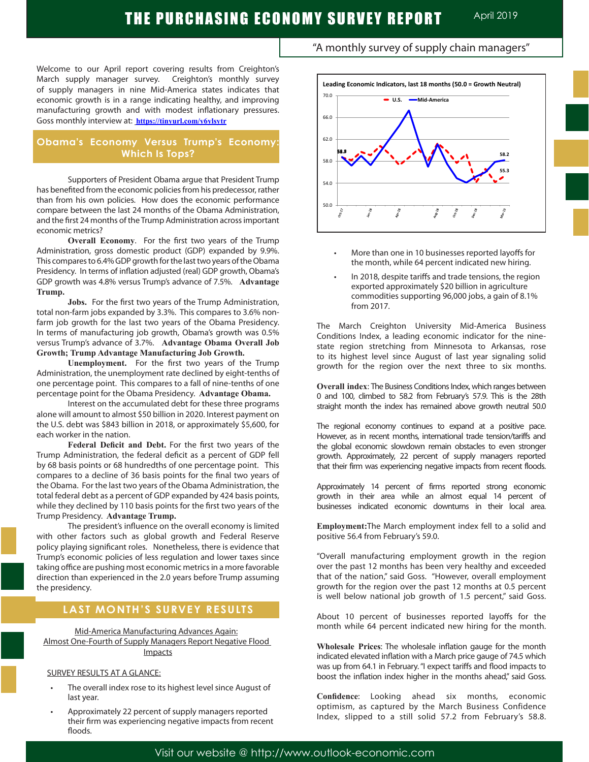Welcome to our April report covering results from Creighton's March supply manager survey. Creighton's monthly survey of supply managers in nine Mid-America states indicates that economic growth is in a range indicating healthy, and improving manufacturing growth and with modest inflationary pressures. Goss monthly interview at: **https://tinyurl.com/y6ylsytr**

### **Obama's Economy Versus Trump's Economy: Which Is Tops?**

Supporters of President Obama argue that President Trump has benefited from the economic policies from his predecessor, rather than from his own policies. How does the economic performance compare between the last 24 months of the Obama Administration, and the first 24 months of the Trump Administration across important economic metrics?

**Overall Economy**. For the first two years of the Trump Administration, gross domestic product (GDP) expanded by 9.9%. This compares to 6.4% GDP growth for the last two years of the Obama Presidency. In terms of inflation adjusted (real) GDP growth, Obama's GDP growth was 4.8% versus Trump's advance of 7.5%. **Advantage Trump.** 

**Jobs.** For the first two years of the Trump Administration, total non-farm jobs expanded by 3.3%. This compares to 3.6% nonfarm job growth for the last two years of the Obama Presidency. In terms of manufacturing job growth, Obama's growth was 0.5% versus Trump's advance of 3.7%. **Advantage Obama Overall Job Growth; Trump Advantage Manufacturing Job Growth.** 

**Unemployment.** For the first two years of the Trump Administration, the unemployment rate declined by eight-tenths of one percentage point. This compares to a fall of nine-tenths of one percentage point for the Obama Presidency. **Advantage Obama.**

Interest on the accumulated debt for these three programs alone will amount to almost \$50 billion in 2020. Interest payment on the U.S. debt was \$843 billion in 2018, or approximately \$5,600, for each worker in the nation.

**Federal Deficit and Debt.** For the first two years of the Trump Administration, the federal deficit as a percent of GDP fell by 68 basis points or 68 hundredths of one percentage point. This compares to a decline of 36 basis points for the final two years of the Obama. For the last two years of the Obama Administration, the total federal debt as a percent of GDP expanded by 424 basis points, while they declined by 110 basis points for the first two years of the Trump Presidency. **Advantage Trump.**

The president's influence on the overall economy is limited with other factors such as global growth and Federal Reserve policy playing significant roles. Nonetheless, there is evidence that Trump's economic policies of less regulation and lower taxes since taking office are pushing most economic metrics in a more favorable direction than experienced in the 2.0 years before Trump assuming the presidency.

## **LAST MONTH'S SURVEY RESULTS**

Mid-America Manufacturing Advances Again: Almost One-Fourth of Supply Managers Report Negative Flood Impacts

### SURVEY RESULTS AT A GLANCE:

L

- The overall index rose to its highest level since August of last year.
- Approximately 22 percent of supply managers reported their firm was experiencing negative impacts from recent floods.





- More than one in 10 businesses reported layoffs for the month, while 64 percent indicated new hiring.
- In 2018, despite tariffs and trade tensions, the region exported approximately \$20 billion in agriculture commodities supporting 96,000 jobs, a gain of 8.1% from 2017.

The March Creighton University Mid-America Business Conditions Index, a leading economic indicator for the ninestate region stretching from Minnesota to Arkansas, rose to its highest level since August of last year signaling solid growth for the region over the next three to six months.

**Overall index**: The Business Conditions Index, which ranges between 0 and 100, climbed to 58.2 from February's 57.9. This is the 28th straight month the index has remained above growth neutral 50.0

The regional economy continues to expand at a positive pace. However, as in recent months, international trade tension/tariffs and the global economic slowdown remain obstacles to even stronger growth. Approximately, 22 percent of supply managers reported that their firm was experiencing negative impacts from recent floods.

Approximately 14 percent of firms reported strong economic growth in their area while an almost equal 14 percent of businesses indicated economic downturns in their local area.

**Employment:**The March employment index fell to a solid and positive 56.4 from February's 59.0. .

"Overall manufacturing employment growth in the region over the past 12 months has been very healthy and exceeded that of the nation," said Goss. "However, overall employment growth for the region over the past 12 months at 0.5 percent is well below national job growth of 1.5 percent," said Goss.

About 10 percent of businesses reported layoffs for the month while 64 percent indicated new hiring for the month.

**Wholesale Prices**: The wholesale inflation gauge for the month indicated elevated inflation with a March price gauge of 74.5 which was up from 64.1 in February."I expect tariffs and flood impacts to boost the inflation index higher in the months ahead," said Goss.

**Confidence**: Looking ahead six months, economic optimism, as captured by the March Business Confidence Index, slipped to a still solid 57.2 from February's 58.8.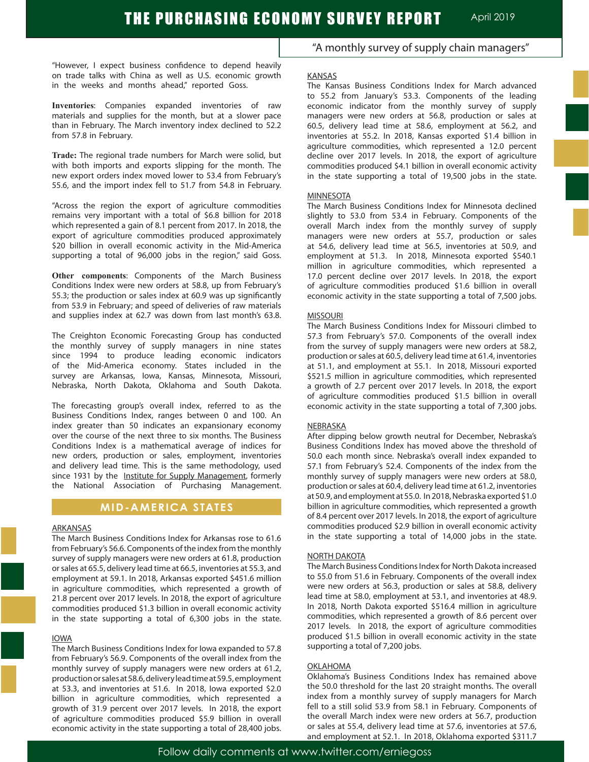"However, I expect business confidence to depend heavily on trade talks with China as well as U.S. economic growth in the weeks and months ahead," reported Goss.

**Inventories**: Companies expanded inventories of raw materials and supplies for the month, but at a slower pace than in February. The March inventory index declined to 52.2 from 57.8 in February.

**Trade:** The regional trade numbers for March were solid, but with both imports and exports slipping for the month. The new export orders index moved lower to 53.4 from February's 55.6, and the import index fell to 51.7 from 54.8 in February.

"Across the region the export of agriculture commodities remains very important with a total of \$6.8 billion for 2018 which represented a gain of 8.1 percent from 2017. In 2018, the export of agriculture commodities produced approximately \$20 billion in overall economic activity in the Mid-America supporting a total of 96,000 jobs in the region," said Goss.

**Other components**: Components of the March Business Conditions Index were new orders at 58.8, up from February's 55.3; the production or sales index at 60.9 was up significantly from 53.9 in February; and speed of deliveries of raw materials and supplies index at 62.7 was down from last month's 63.8.

The Creighton Economic Forecasting Group has conducted the monthly survey of supply managers in nine states since 1994 to produce leading economic indicators of the Mid-America economy. States included in the survey are Arkansas, Iowa, Kansas, Minnesota, Missouri, Nebraska, North Dakota, Oklahoma and South Dakota.

The forecasting group's overall index, referred to as the Business Conditions Index, ranges between 0 and 100. An index greater than 50 indicates an expansionary economy over the course of the next three to six months. The Business Conditions Index is a mathematical average of indices for new orders, production or sales, employment, inventories and delivery lead time. This is the same methodology, used since 1931 by the Institute for Supply Management, formerly the National Association of Purchasing Management.

### **MID-AMERICA STATES**

### ARKANSAS

The March Business Conditions Index for Arkansas rose to 61.6 from February's 56.6. Components of the index from the monthly survey of supply managers were new orders at 61.8, production or sales at 65.5, delivery lead time at 66.5, inventories at 55.3, and employment at 59.1. In 2018, Arkansas exported \$451.6 million in agriculture commodities, which represented a growth of 21.8 percent over 2017 levels. In 2018, the export of agriculture commodities produced \$1.3 billion in overall economic activity in the state supporting a total of 6,300 jobs in the state.

### IOWA

The March Business Conditions Index for Iowa expanded to 57.8 from February's 56.9. Components of the overall index from the monthly survey of supply managers were new orders at 61.2, production or sales at 58.6, delivery lead time at 59.5, employment at 53.3, and inventories at 51.6. In 2018, Iowa exported \$2.0 billion in agriculture commodities, which represented a growth of 31.9 percent over 2017 levels. In 2018, the export of agriculture commodities produced \$5.9 billion in overall economic activity in the state supporting a total of 28,400 jobs.

"A monthly survey of supply chain managers"

#### KANSAS

The Kansas Business Conditions Index for March advanced to 55.2 from January's 53.3. Components of the leading economic indicator from the monthly survey of supply managers were new orders at 56.8, production or sales at 60.5, delivery lead time at 58.6, employment at 56.2, and inventories at 55.2. In 2018, Kansas exported \$1.4 billion in agriculture commodities, which represented a 12.0 percent decline over 2017 levels. In 2018, the export of agriculture commodities produced \$4.1 billion in overall economic activity in the state supporting a total of 19,500 jobs in the state.

#### **MINNESOTA**

The March Business Conditions Index for Minnesota declined slightly to 53.0 from 53.4 in February. Components of the overall March index from the monthly survey of supply managers were new orders at 55.7, production or sales at 54.6, delivery lead time at 56.5, inventories at 50.9, and employment at 51.3. In 2018, Minnesota exported \$540.1 million in agriculture commodities, which represented a 17.0 percent decline over 2017 levels. In 2018, the export of agriculture commodities produced \$1.6 billion in overall economic activity in the state supporting a total of 7,500 jobs.

#### MISSOURI

The March Business Conditions Index for Missouri climbed to 57.3 from February's 57.0. Components of the overall index from the survey of supply managers were new orders at 58.2, production or sales at 60.5, delivery lead time at 61.4, inventories at 51.1, and employment at 55.1. In 2018, Missouri exported \$521.5 million in agriculture commodities, which represented a growth of 2.7 percent over 2017 levels. In 2018, the export of agriculture commodities produced \$1.5 billion in overall economic activity in the state supporting a total of 7,300 jobs.

#### **NEBRASKA**

After dipping below growth neutral for December, Nebraska's Business Conditions Index has moved above the threshold of 50.0 each month since. Nebraska's overall index expanded to 57.1 from February's 52.4. Components of the index from the monthly survey of supply managers were new orders at 58.0, production or sales at 60.4, delivery lead time at 61.2, inventories at 50.9, and employment at 55.0. In 2018, Nebraska exported \$1.0 billion in agriculture commodities, which represented a growth of 8.4 percent over 2017 levels. In 2018, the export of agriculture commodities produced \$2.9 billion in overall economic activity in the state supporting a total of 14,000 jobs in the state.

#### NORTH DAKOTA

The March Business Conditions Index for North Dakota increased to 55.0 from 51.6 in February. Components of the overall index were new orders at 56.3, production or sales at 58.8, delivery lead time at 58.0, employment at 53.1, and inventories at 48.9. In 2018, North Dakota exported \$516.4 million in agriculture commodities, which represented a growth of 8.6 percent over 2017 levels. In 2018, the export of agriculture commodities produced \$1.5 billion in overall economic activity in the state supporting a total of 7,200 jobs.

### OKI AHOMA

Oklahoma's Business Conditions Index has remained above the 50.0 threshold for the last 20 straight months. The overall index from a monthly survey of supply managers for March fell to a still solid 53.9 from 58.1 in February. Components of the overall March index were new orders at 56.7, production or sales at 55.4, delivery lead time at 57.6, inventories at 57.6, and employment at 52.1. In 2018, Oklahoma exported \$311.7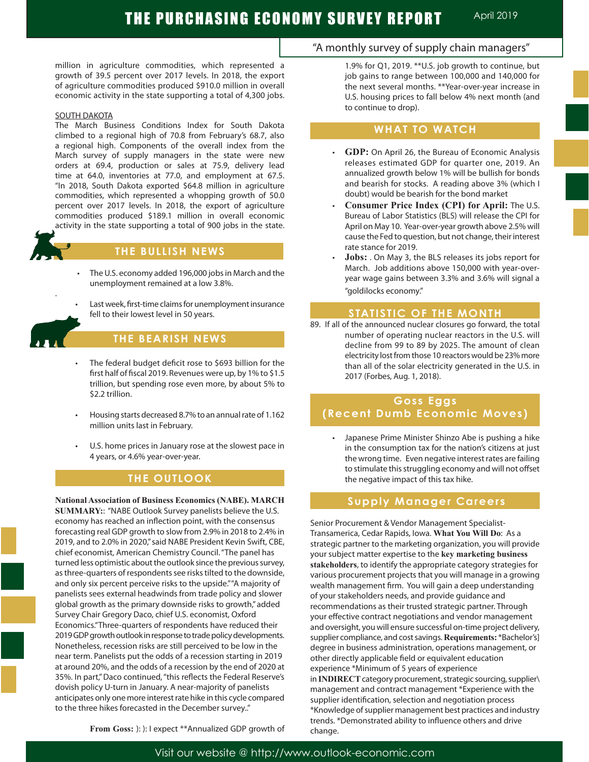million in agriculture commodities, which represented a growth of 39.5 percent over 2017 levels. In 2018, the export of agriculture commodities produced \$910.0 million in overall economic activity in the state supporting a total of 4,300 jobs.

#### SOUTH DAKOTA

The March Business Conditions Index for South Dakota climbed to a regional high of 70.8 from February's 68.7, also a regional high. Components of the overall index from the March survey of supply managers in the state were new orders at 69.4, production or sales at 75.9, delivery lead time at 64.0, inventories at 77.0, and employment at 67.5. "In 2018, South Dakota exported \$64.8 million in agriculture commodities, which represented a whopping growth of 50.0 percent over 2017 levels. In 2018, the export of agriculture commodities produced \$189.1 million in overall economic activity in the state supporting a total of 900 jobs in the state.

## **THE BULLISH NEWS**

- The U.S. economy added 196,000 jobs in March and the unemployment remained at a low 3.8%.
- Last week, first-time claims for unemployment insurance fell to their lowest level in 50 years.



## **THE BEARISH NEWS**

- The federal budget deficit rose to \$693 billion for the first half of fiscal 2019. Revenues were up, by 1% to \$1.5 trillion, but spending rose even more, by about 5% to \$2.2 trillion.
- Housing starts decreased 8.7% to an annual rate of 1.162 million units last in February.
- U.S. home prices in January rose at the slowest pace in 4 years, or 4.6% year-over-year.

## **THE OUTLOOK**

**National Association of Business Economics (NABE). MARCH SUMMARY:**: "NABE Outlook Survey panelists believe the U.S. economy has reached an inflection point, with the consensus forecasting real GDP growth to slow from 2.9% in 2018 to 2.4% in 2019, and to 2.0% in 2020," said NABE President Kevin Swift, CBE, chief economist, American Chemistry Council. "The panel has turned less optimistic about the outlook since the previous survey, as three-quarters of respondents see risks tilted to the downside, and only six percent perceive risks to the upside." "A majority of panelists sees external headwinds from trade policy and slower global growth as the primary downside risks to growth," added Survey Chair Gregory Daco, chief U.S. economist, Oxford Economics."Three-quarters of respondents have reduced their 2019 GDP growth outlook in response to trade policy developments. Nonetheless, recession risks are still perceived to be low in the near term. Panelists put the odds of a recession starting in 2019 at around 20%, and the odds of a recession by the end of 2020 at 35%. In part," Daco continued, "this reflects the Federal Reserve's dovish policy U-turn in January. A near-majority of panelists anticipates only one more interest rate hike in this cycle compared to the three hikes forecasted in the December survey.."

**From Goss:** ): ): I expect \*\*Annualized GDP growth of

## "A monthly survey of supply chain managers"

1.9% for Q1, 2019. \*\*U.S. job growth to continue, but job gains to range between 100,000 and 140,000 for the next several months. \*\*Year-over-year increase in U.S. housing prices to fall below 4% next month (and to continue to drop).

### **WHAT TO WATCH**

- **GDP:** On April 26, the Bureau of Economic Analysis releases estimated GDP for quarter one, 2019. An annualized growth below 1% will be bullish for bonds and bearish for stocks. A reading above 3% (which I doubt) would be bearish for the bond market
- **Consumer Price Index (CPI) for April:** The U.S. Bureau of Labor Statistics (BLS) will release the CPI for April on May 10. Year-over-year growth above 2.5% will cause the Fed to question, but not change, their interest rate stance for 2019.
- **Jobs:** . On May 3, the BLS releases its jobs report for March. Job additions above 150,000 with year-overyear wage gains between 3.3% and 3.6% will signal a "goldilocks economy."

### **STATISTIC OF THE MONTH**

89. If all of the announced nuclear closures go forward, the total number of operating nuclear reactors in the U.S. will decline from 99 to 89 by 2025. The amount of clean electricity lost from those 10 reactors would be 23% more than all of the solar electricity generated in the U.S. in 2017 (Forbes, Aug. 1, 2018).

## **Goss Eggs (Recent Dumb Economic Moves)**

Japanese Prime Minister Shinzo Abe is pushing a hike in the consumption tax for the nation's citizens at just the wrong time. Even negative interest rates are failing to stimulate this struggling economy and will not offset the negative impact of this tax hike.

### **Supply Manager Careers**

Senior Procurement & Vendor Management Specialist-Transamerica, Cedar Rapids, Iowa. **What You Will Do**: As a strategic partner to the marketing organization, you will provide your subject matter expertise to the **key marketing business stakeholders**, to identify the appropriate category strategies for various procurement projects that you will manage in a growing wealth management firm. You will gain a deep understanding of your stakeholders needs, and provide guidance and recommendations as their trusted strategic partner. Through your effective contract negotiations and vendor management and oversight, you will ensure successful on-time project delivery, supplier compliance, and cost savings. **Requirements:** \*Bachelor's] degree in business administration, operations management, or other directly applicable field or equivalent education experience \*Minimum of 5 years of experience in **INDIRECT** category procurement, strategic sourcing, supplier\ management and contract management \*Experience with the supplier identification, selection and negotiation process \*Knowledge of supplier management best practices and industry trends. \*Demonstrated ability to influence others and drive change.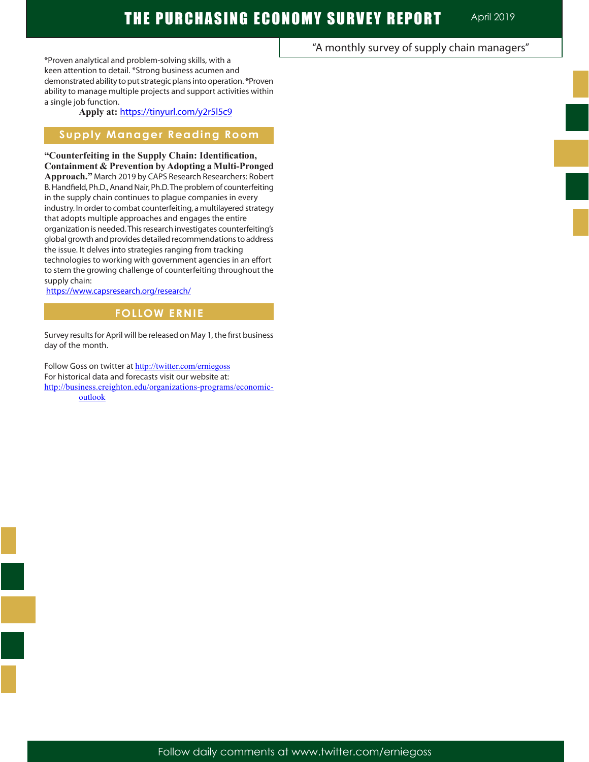"A monthly survey of supply chain managers"

\*Proven analytical and problem-solving skills, with a keen attention to detail. \*Strong business acumen and demonstrated ability to put strategic plans into operation. \*Proven ability to manage multiple projects and support activities within a single job function.

**Apply at:** https://tinyurl.com/y2r5l5c9

## **Supply Manager Reading Room**

**"Counterfeiting in the Supply Chain: Identification, Containment & Prevention by Adopting a Multi-Pronged Approach."** March 2019 by CAPS Research Researchers: Robert B. Handfield, Ph.D., Anand Nair, Ph.D. The problem of counterfeiting in the supply chain continues to plague companies in every industry. In order to combat counterfeiting, a multilayered strategy that adopts multiple approaches and engages the entire organization is needed. This research investigates counterfeiting's global growth and provides detailed recommendations to address the issue. It delves into strategies ranging from tracking technologies to working with government agencies in an effort to stem the growing challenge of counterfeiting throughout the supply chain:

https://www.capsresearch.org/research/

### **FOLLOW ERNIE**

Survey results for April will be released on May 1, the first business day of the month.

Follow Goss on twitter at http://twitter.com/erniegoss For historical data and forecasts visit our website at: http://business.creighton.edu/organizations-programs/economicoutlook